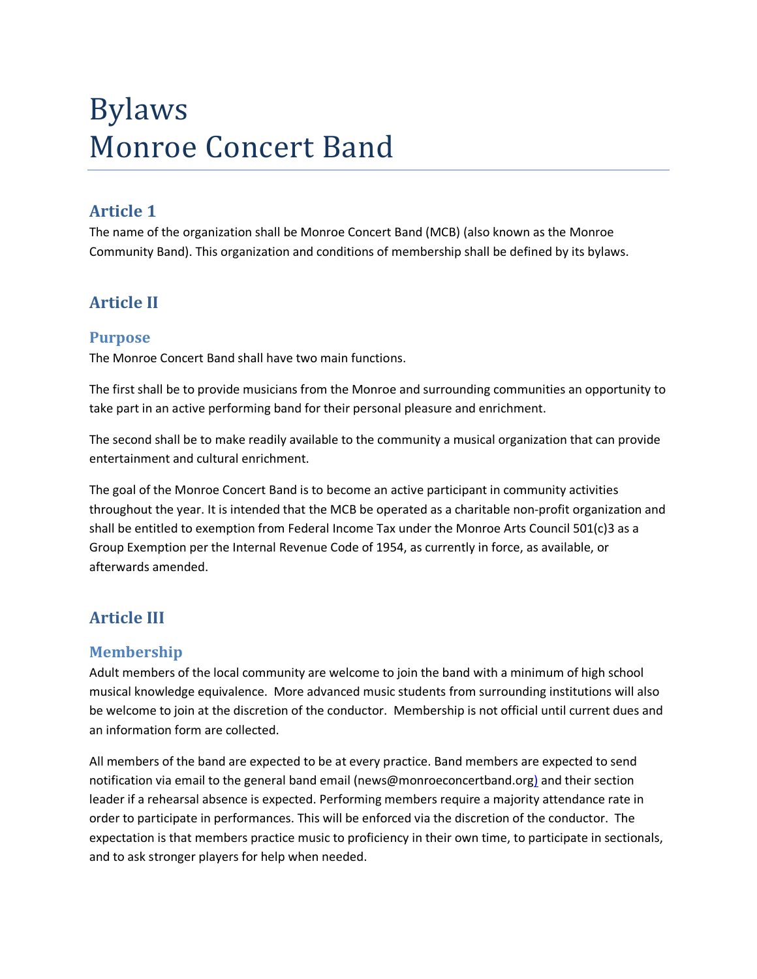# Bylaws Monroe Concert Band

## **Article 1**

The name of the organization shall be Monroe Concert Band (MCB) (also known as the Monroe Community Band). This organization and conditions of membership shall be defined by its bylaws.

# **Article II**

## **Purpose**

The Monroe Concert Band shall have two main functions.

The first shall be to provide musicians from the Monroe and surrounding communities an opportunity to take part in an active performing band for their personal pleasure and enrichment.

The second shall be to make readily available to the community a musical organization that can provide entertainment and cultural enrichment.

The goal of the Monroe Concert Band is to become an active participant in community activities throughout the year. It is intended that the MCB be operated as a charitable non-profit organization and shall be entitled to exemption from Federal Income Tax under the Monroe Arts Council 501(c)3 as a Group Exemption per the Internal Revenue Code of 1954, as currently in force, as available, or afterwards amended.

# **Article III**

## **Membership**

Adult members of the local community are welcome to join the band with a minimum of high school musical knowledge equivalence. More advanced music students from surrounding institutions will also be welcome to join at the discretion of the conductor. Membership is not official until current dues and an information form are collected.

All members of the band are expected to be at every practice. Band members are expected to send notification via email to the general band email (news@monroeconcertband.org) and their section leader if a rehearsal absence is expected. Performing members require a majority attendance rate in order to participate in performances. This will be enforced via the discretion of the conductor. The expectation is that members practice music to proficiency in their own time, to participate in sectionals, and to ask stronger players for help when needed.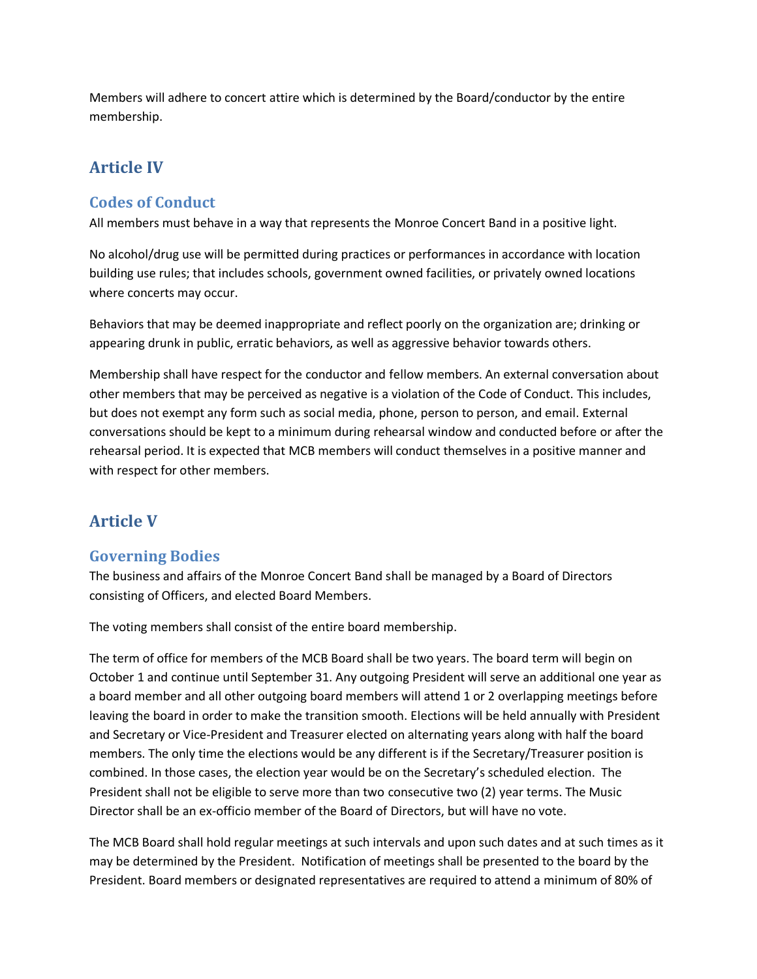Members will adhere to concert attire which is determined by the Board/conductor by the entire membership.

# **Article IV**

## **Codes of Conduct**

All members must behave in a way that represents the Monroe Concert Band in a positive light.

No alcohol/drug use will be permitted during practices or performances in accordance with location building use rules; that includes schools, government owned facilities, or privately owned locations where concerts may occur.

Behaviors that may be deemed inappropriate and reflect poorly on the organization are; drinking or appearing drunk in public, erratic behaviors, as well as aggressive behavior towards others.

Membership shall have respect for the conductor and fellow members. An external conversation about other members that may be perceived as negative is a violation of the Code of Conduct. This includes, but does not exempt any form such as social media, phone, person to person, and email. External conversations should be kept to a minimum during rehearsal window and conducted before or after the rehearsal period. It is expected that MCB members will conduct themselves in a positive manner and with respect for other members.

# **Article V**

## **Governing Bodies**

The business and affairs of the Monroe Concert Band shall be managed by a Board of Directors consisting of Officers, and elected Board Members.

The voting members shall consist of the entire board membership.

The term of office for members of the MCB Board shall be two years. The board term will begin on October 1 and continue until September 31. Any outgoing President will serve an additional one year as a board member and all other outgoing board members will attend 1 or 2 overlapping meetings before leaving the board in order to make the transition smooth. Elections will be held annually with President and Secretary or Vice-President and Treasurer elected on alternating years along with half the board members. The only time the elections would be any different is if the Secretary/Treasurer position is combined. In those cases, the election year would be on the Secretary's scheduled election. The President shall not be eligible to serve more than two consecutive two (2) year terms. The Music Director shall be an ex-officio member of the Board of Directors, but will have no vote.

The MCB Board shall hold regular meetings at such intervals and upon such dates and at such times as it may be determined by the President. Notification of meetings shall be presented to the board by the President. Board members or designated representatives are required to attend a minimum of 80% of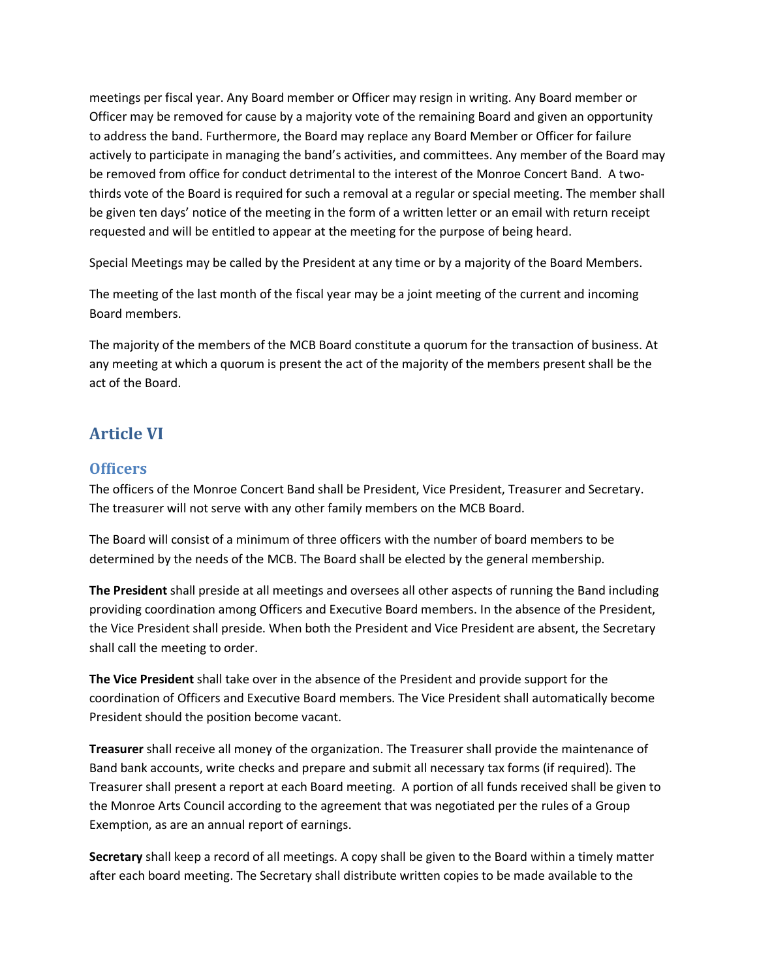meetings per fiscal year. Any Board member or Officer may resign in writing. Any Board member or Officer may be removed for cause by a majority vote of the remaining Board and given an opportunity to address the band. Furthermore, the Board may replace any Board Member or Officer for failure actively to participate in managing the band's activities, and committees. Any member of the Board may be removed from office for conduct detrimental to the interest of the Monroe Concert Band. A twothirds vote of the Board is required for such a removal at a regular or special meeting. The member shall be given ten days' notice of the meeting in the form of a written letter or an email with return receipt requested and will be entitled to appear at the meeting for the purpose of being heard.

Special Meetings may be called by the President at any time or by a majority of the Board Members.

The meeting of the last month of the fiscal year may be a joint meeting of the current and incoming Board members.

The majority of the members of the MCB Board constitute a quorum for the transaction of business. At any meeting at which a quorum is present the act of the majority of the members present shall be the act of the Board.

## **Article VI**

#### **Officers**

The officers of the Monroe Concert Band shall be President, Vice President, Treasurer and Secretary. The treasurer will not serve with any other family members on the MCB Board.

The Board will consist of a minimum of three officers with the number of board members to be determined by the needs of the MCB. The Board shall be elected by the general membership.

**The President** shall preside at all meetings and oversees all other aspects of running the Band including providing coordination among Officers and Executive Board members. In the absence of the President, the Vice President shall preside. When both the President and Vice President are absent, the Secretary shall call the meeting to order.

**The Vice President** shall take over in the absence of the President and provide support for the coordination of Officers and Executive Board members. The Vice President shall automatically become President should the position become vacant.

**Treasurer** shall receive all money of the organization. The Treasurer shall provide the maintenance of Band bank accounts, write checks and prepare and submit all necessary tax forms (if required). The Treasurer shall present a report at each Board meeting. A portion of all funds received shall be given to the Monroe Arts Council according to the agreement that was negotiated per the rules of a Group Exemption, as are an annual report of earnings.

**Secretary** shall keep a record of all meetings. A copy shall be given to the Board within a timely matter after each board meeting. The Secretary shall distribute written copies to be made available to the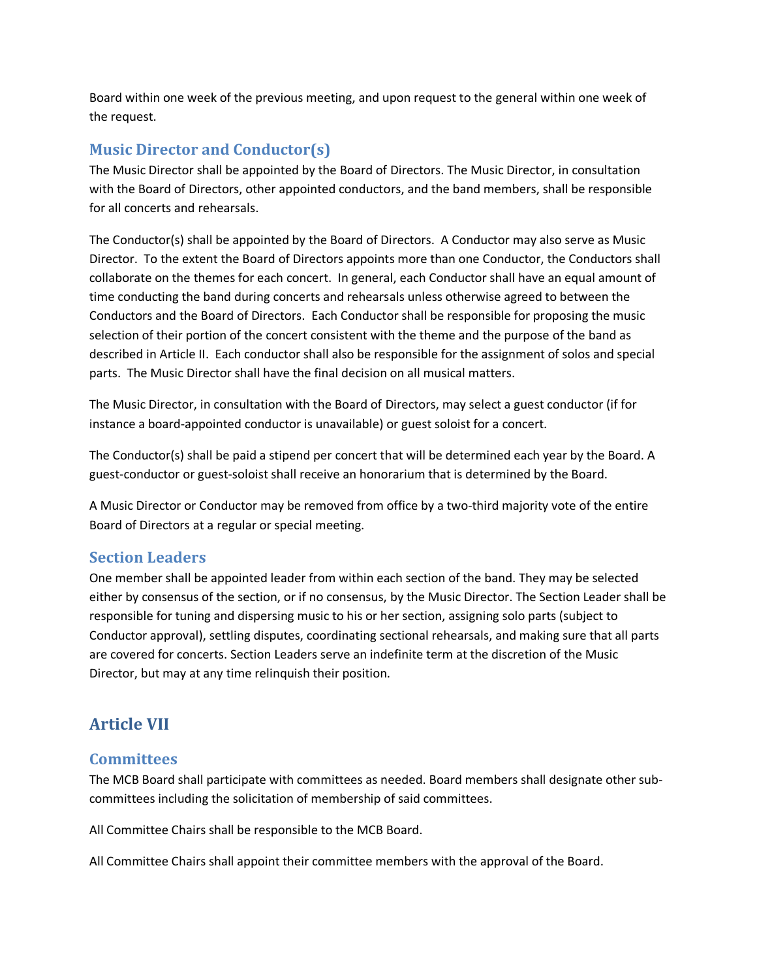Board within one week of the previous meeting, and upon request to the general within one week of the request.

#### **Music Director and Conductor(s)**

The Music Director shall be appointed by the Board of Directors. The Music Director, in consultation with the Board of Directors, other appointed conductors, and the band members, shall be responsible for all concerts and rehearsals.

The Conductor(s) shall be appointed by the Board of Directors. A Conductor may also serve as Music Director. To the extent the Board of Directors appoints more than one Conductor, the Conductors shall collaborate on the themes for each concert. In general, each Conductor shall have an equal amount of time conducting the band during concerts and rehearsals unless otherwise agreed to between the Conductors and the Board of Directors. Each Conductor shall be responsible for proposing the music selection of their portion of the concert consistent with the theme and the purpose of the band as described in Article II. Each conductor shall also be responsible for the assignment of solos and special parts. The Music Director shall have the final decision on all musical matters.

The Music Director, in consultation with the Board of Directors, may select a guest conductor (if for instance a board-appointed conductor is unavailable) or guest soloist for a concert.

The Conductor(s) shall be paid a stipend per concert that will be determined each year by the Board. A guest-conductor or guest-soloist shall receive an honorarium that is determined by the Board.

A Music Director or Conductor may be removed from office by a two-third majority vote of the entire Board of Directors at a regular or special meeting.

#### **Section Leaders**

One member shall be appointed leader from within each section of the band. They may be selected either by consensus of the section, or if no consensus, by the Music Director. The Section Leader shall be responsible for tuning and dispersing music to his or her section, assigning solo parts (subject to Conductor approval), settling disputes, coordinating sectional rehearsals, and making sure that all parts are covered for concerts. Section Leaders serve an indefinite term at the discretion of the Music Director, but may at any time relinquish their position.

## **Article VII**

#### **Committees**

The MCB Board shall participate with committees as needed. Board members shall designate other subcommittees including the solicitation of membership of said committees.

All Committee Chairs shall be responsible to the MCB Board.

All Committee Chairs shall appoint their committee members with the approval of the Board.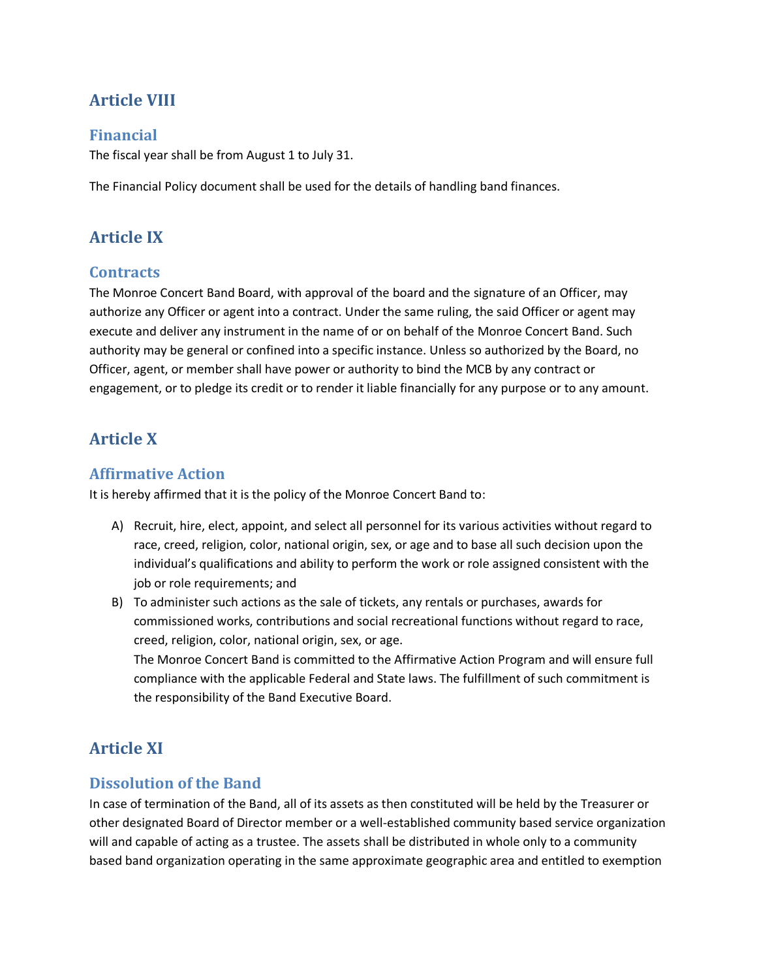# **Article VIII**

## **Financial**

The fiscal year shall be from August 1 to July 31.

The Financial Policy document shall be used for the details of handling band finances.

## **Article IX**

## **Contracts**

The Monroe Concert Band Board, with approval of the board and the signature of an Officer, may authorize any Officer or agent into a contract. Under the same ruling, the said Officer or agent may execute and deliver any instrument in the name of or on behalf of the Monroe Concert Band. Such authority may be general or confined into a specific instance. Unless so authorized by the Board, no Officer, agent, or member shall have power or authority to bind the MCB by any contract or engagement, or to pledge its credit or to render it liable financially for any purpose or to any amount.

## **Article X**

#### **Affirmative Action**

It is hereby affirmed that it is the policy of the Monroe Concert Band to:

- A) Recruit, hire, elect, appoint, and select all personnel for its various activities without regard to race, creed, religion, color, national origin, sex, or age and to base all such decision upon the individual's qualifications and ability to perform the work or role assigned consistent with the job or role requirements; and
- B) To administer such actions as the sale of tickets, any rentals or purchases, awards for commissioned works, contributions and social recreational functions without regard to race, creed, religion, color, national origin, sex, or age.

The Monroe Concert Band is committed to the Affirmative Action Program and will ensure full compliance with the applicable Federal and State laws. The fulfillment of such commitment is the responsibility of the Band Executive Board.

# **Article XI**

## **Dissolution of the Band**

In case of termination of the Band, all of its assets as then constituted will be held by the Treasurer or other designated Board of Director member or a well-established community based service organization will and capable of acting as a trustee. The assets shall be distributed in whole only to a community based band organization operating in the same approximate geographic area and entitled to exemption